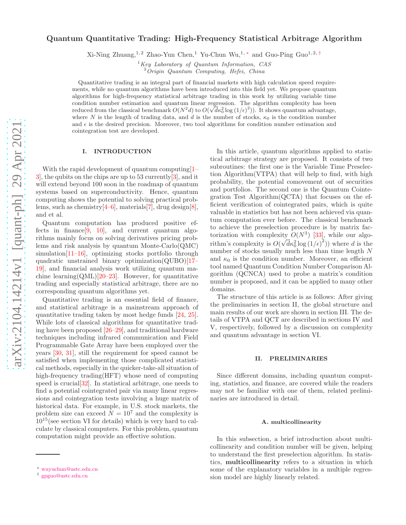# Quantum Quantitative Trading: High-Frequency Statistical Arbitrage Algorithm

Xi-Ning Zhuang,<sup>1,2</sup> Zhao-Yun Chen,<sup>1</sup> Yu-Chun Wu,<sup>1,\*</sup> and Guo-Ping Guo<sup>1,2,[†](#page-0-1)</sup>

 $1$ Key Laboratory of Quantum Information, CAS

 $2$ Origin Quantum Computing, Hefei, China

Quantitative trading is an integral part of financial markets with high calculation speed requirements, while no quantum algorithms have been introduced into this field yet. We propose quantum algorithms for high-frequency statistical arbitrage trading in this work by utilizing variable time condition number estimation and quantum linear regression. The algorithm complexity has been reduced from the classical benchmark  $O(N^2 d)$  to  $O(\sqrt{d} \kappa_0^2 \log (1/\epsilon)^2)$ ). It shows quantum advantage, where N is the length of trading data, and d is the number of stocks,  $\kappa_0$  is the condition number and  $\epsilon$  is the desired precision. Moreover, two tool algorithms for condition number estimation and cointegration test are developed.

### I. INTRODUCTION

With the rapid development of quantum computing [\[1](#page-8-0)– [3](#page-8-1)], the qubits on the chips are up to 53 currently[\[3\]](#page-8-1), and it will extend beyond 100 soon in the roadmap of quantum systems based on superconductivity. Hence, quantum computing shows the potential to solving practical problems, such as chemistry[\[4](#page-8-2)[–6\]](#page-8-3), materials[\[7\]](#page-8-4), drug design[\[8\]](#page-8-5), and et al.

Quantum computation has produced positive effects in finance  $[9, 10]$  $[9, 10]$  $[9, 10]$ , and current quantum algorithms mainly focus on solving derivatives pricing problems and risk analysis by quantum Monte-Carlo(QMC) simulation[\[11](#page-8-8)[–16\]](#page-9-0), optimizing stocks portfolio through quadratic unstrained binary optimization(QUBO)[\[17](#page-9-1)– [19\]](#page-9-2), and financial analysis work utilizing quantum machine learning( $QML$ )[\[20](#page-9-3)[–23](#page-9-4)]. However, for quantitative trading and especially statistical arbitrage, there are no corresponding quantum algorithms yet.

Quantitative trading is an essential field of finance, and statistical arbitrage is a mainstream approach of quantitative trading taken by most hedge funds [\[24,](#page-9-5) [25\]](#page-9-6). While lots of classical algorithms for quantitative trading have been proposed [\[26](#page-9-7)[–29\]](#page-9-8), and traditional hardware techniques including infrared communication and Field Programmable Gate Array have been employed over the years [\[30,](#page-9-9) [31](#page-9-10)], still the requirement for speed cannot be satisfied when implementing those complicated statistical methods, especially in the quicker-take-all situation of high-frequency trading(HFT) whose need of computing speed is crucial[\[32\]](#page-9-11). In statistical arbitrage, one needs to find a potential cointegrated pair via many linear regressions and cointegration tests involving a huge matrix of historical data. For example, in U.S. stock markets, the problem size can exceed  $N = 10^7$  and the complexity is  $10^{15}$ (see section VI for details) which is very hard to calculate by classical computers. For this problem, quantum computation might provide an effective solution.

In this article, quantum algorithms applied to statistical arbitrage strategy are proposed. It consists of two subroutines: the first one is the Variable Time Preselection Algorithm(VTPA) that will help to find, with high probability, the potential comovement out of securities and portfolios. The second one is the Quantum Cointegration Test Algorithm(QCTA) that focuses on the efficient verification of cointegrated pairs, which is quite valuable in statistics but has not been achieved via quantum computation ever before. The classical benchmark to achieve the preselection procedure is by matrix factorization with complexity  $O(N^3)$  [\[33](#page-9-12)], while our algorithm's complexity is  $O(\sqrt{d}\kappa_0^2 \log{(1/\epsilon)}^2))$  where d is the number of stocks usually much less than time length N and  $\kappa_0$  is the condition number. Moreover, an efficient tool named Quantum Condition Number Comparison Algorithm (QCNCA) used to probe a matrix's condition number is proposed, and it can be applied to many other domains.

The structure of this article is as follows: After giving the preliminaries in section II, the global structure and main results of our work are shown in section III. The details of VTPA and QCT are described in sections IV and V, respectively, followed by a discussion on complexity and quantum advantage in section VI.

#### II. PRELIMINARIES

Since different domains, including quantum computing, statistics, and finance, are covered while the readers may not be familiar with one of them, related preliminaries are introduced in detail.

#### A. multicollinearity

In this subsection, a brief introduction about multicollinearity and condition number will be given, helping to understand the first preselection algorithm. In statistics, multicollinearity refers to a situation in which some of the explanatory variables in a multiple regression model are highly linearly related.

<span id="page-0-0"></span><sup>∗</sup> [wuyuchun@ustc.edu.cn](mailto:wuyuchun@ustc.edu.cn)

<span id="page-0-1"></span><sup>†</sup> [gpguo@ustc.edu.cn](mailto:gpguo@ustc.edu.cn)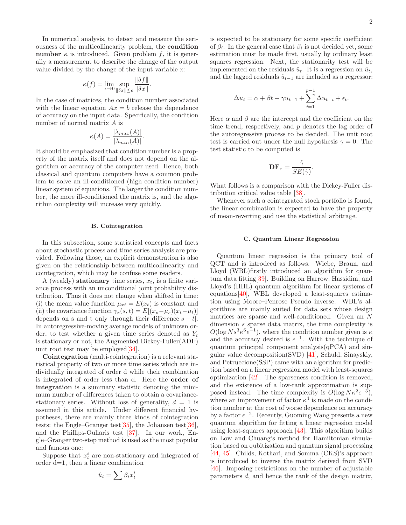In numerical analysis, to detect and measure the seriousness of the multicollinearity problem, the condition number  $\kappa$  is introduced. Given problem f, it is generally a measurement to describe the change of the output value divided by the change of the input variable x:

$$
\kappa(f) = \lim_{\epsilon \to 0} \sup_{\|\delta x\| \le \epsilon} \frac{\|\delta f\|}{\|\delta x\|}.
$$

In the case of matrices, the condition number associated with the linear equation  $Ax = b$  release the dependence of accuracy on the input data. Specifically, the condition number of normal matrix A is

$$
\kappa(A) = \frac{|\lambda_{max}(A)|}{|\lambda_{min}(A)|}.
$$

It should be emphasized that condition number is a property of the matrix itself and does not depend on the algorithm or accuracy of the computer used. Hence, both classical and quantum computers have a common problem to solve an ill-conditioned (high condition number) linear system of equations. The larger the condition number, the more ill-conditioned the matrix is, and the algorithm complexity will increase very quickly.

## B. Cointegration

In this subsection, some statistical concepts and facts about stochastic process and time series analysis are provided. Following those, an explicit demonstration is also given on the relationship between multicollinearity and cointegration, which may be confuse some readers.

A (weakly) stationary time series,  $x_t$ , is a finite variance process with an unconditional joint probability distribution. Thus it does not change when shifted in time: (i) the mean value function  $\mu_{xt} = E(x_t)$  is constant and (ii) the covariance function  $\gamma_x(s,t) = E[(x_s-\mu_s)(x_t-\mu_t)]$ depends on s and t only through their difference $|s - t|$ . In autoregressive-moving average models of unknown order, to test whether a given time series denoted as  $Y_t$ is stationary or not, the Augmented Dickey-Fuller(ADF) unit root test may be employed[\[34\]](#page-9-13).

Cointegration (multi-cointegration) is a relevant statistical property of two or more time series which are individually integrated of order d while their combination is integrated of order less than d. Here the order of integration is a summary statistic denoting the minimum number of differences taken to obtain a covariancestationary series. Without loss of generality,  $d = 1$  is assumed in this article. Under different financial hypotheses, there are mainly three kinds of cointegration tests: the Engle–Granger test[\[35](#page-9-14)], the Johansen test[\[36\]](#page-9-15), and the Phillips-Ouliaris test [\[37](#page-9-16)]. In our work, Engle–Granger two-step method is used as the most popular and famous one:

Suppose that  $x_t^i$  are non-stationary and integrated of order d=1, then a linear combination

$$
\hat{u}_t = \sum \beta_i x_t^i
$$

is expected to be stationary for some specific coefficient of  $\beta_i$ . In the general case that  $\beta_i$  is not decided yet, some estimation must be made first, usually by ordinary least squares regression. Next, the stationarity test will be implemented on the residuals  $\hat{u}_t$ . It is a regression on  $\hat{u}_t$ , and the lagged residuals  $\hat{u}_{t-1}$  are included as a regressor:

$$
\Delta u_t = \alpha + \beta t + \gamma u_{t-1} + \sum_{i=1}^{p-1} \Delta u_{t-i} + \epsilon_t.
$$

Here  $\alpha$  and  $\beta$  are the intercept and the coefficient on the time trend, respectively, and  $p$  denotes the lag order of the autoregressive process to be decided. The unit root test is carried out under the null hypothesis  $\gamma = 0$ . The test statistic to be computed is

$$
\mathbf{DF}_{\tau} = \frac{\hat{\gamma}}{SE(\hat{\gamma})}.
$$

What follows is a comparison with the Dickey-Fuller distribution critical value table [\[38\]](#page-9-17).

Whenever such a cointegrated stock portfolio is found, the linear combination is expected to have the property of mean-reverting and use the statistical arbitrage.

#### C. Quantum Linear Regression

Quantum linear regression is the primary tool of QCT and is introdecd as follows. Wiebe, Braun, and Lloyd (WBL)firstly introduced an algorithm for quantum data fitting[\[39](#page-9-18)]. Building on Harrow, Hassidim, and Lloyd's (HHL) quantum algorithm for linear systems of equations[\[40](#page-9-19)], WBL developed a least-squares estimation using Moore–Penrose Pseudo inverse. WBL's algorithms are mainly suited for data sets whose design matrices are sparse and well-conditioned. Given an N dimension s sparse data matrix, the time complexity is  $O(\log N s^3 \kappa^6 \epsilon^{-1})$ , where the condition number given is  $\kappa$ and the accuracy desired is  $\epsilon^{-1}$ . With the technique of quantum principal component analysis(qPCA) and singular value decomposition(SVD) [\[41](#page-9-20)], Schuld, Sinayskiy, and Petruccione(SSP) came with an algorithm for prediction based on a linear regression model with least-squares optimization [\[42](#page-9-21)]. The sparseness condition is removed, and the existence of a low-rank approximation is supposed instead. The time complexity is  $O(\log N\kappa^2\epsilon^{-3})$ , where an improvement of factor  $\kappa^4$  is made on the condition number at the cost of worse dependence on accuracy by a factor  $\epsilon^{-2}$ . Recently, Guoming Wang presents a new quantum algorithm for fitting a linear regression model using least-squares approach [\[43\]](#page-9-22). This algorithm builds on Low and Chuang's method for Hamiltonian simulation based on qubitization and quantum signal processing [\[44,](#page-9-23) [45\]](#page-9-24). Childs, Kothari, and Somma (CKS)'s approach is introduced to inverse the matrix derived from SVD [\[46\]](#page-9-25). Imposing restrictions on the number of adjustable parameters d, and hence the rank of the design matrix,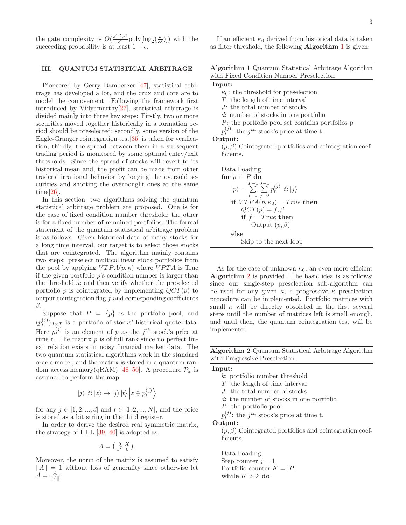the gate complexity is  $O(\frac{d^{1.5} \kappa^3}{\epsilon^2})$  $\frac{\varepsilon^3}{\varepsilon^2}$  poly  $[\log_2(\frac{\kappa}{\varepsilon\delta})]$  with the succeeding probability is at least  $1 - \epsilon$ .

# III. QUANTUM STATISTICAL ARBITRAGE

Pioneered by Gerry Bamberger [\[47](#page-9-26)], statistical arbitrage has developed a lot, and the crux and core are to model the comovement. Following the framework first introduced by Vidyamurthy[\[27\]](#page-9-27), statistical arbitrage is divided mainly into three key steps: Firstly, two or more securities moved together historically in a formation period should be preselected; secondly, some version of the Engle-Granger cointegration test[\[35\]](#page-9-14) is taken for verification; thirdly, the spread between them in a subsequent trading period is monitored by some optimal entry/exit thresholds. Since the spread of stocks will revert to its historical mean and, the profit can be made from other traders' irrational behavior by longing the oversold securities and shorting the overbought ones at the same time[\[26](#page-9-7)].

In this section, two algorithms solving the quantum statistical arbitrage problem are proposed. One is for the case of fixed condition number threshold; the other is for a fixed number of remained portfolios. The formal statement of the quantum statistical arbitrage problem is as follows: Given historical data of many stocks for a long time interval, our target is to select those stocks that are cointegrated. The algorithm mainly contains two steps: preselect multicollinear stock portfolios from the pool by applying  $VTPA(p, \kappa)$  where  $VPTA$  is True if the given portfolio  $p$ 's condition number is larger than the threshold  $\kappa$ ; and then verify whether the preselected portfolio p is cointegrated by implementing  $QCT(p)$  to output cointegration flag  $f$  and corresponding coefficients β.

Suppose that  $P = \{p\}$  is the portfolio pool, and  $(p_t^{(j)})_{J \times T}$  is a portfolio of stocks' historical quote data. Here  $p_t^{(j)}$  is an element of p as the  $j^{th}$  stock's price at time t. The matrix  $p$  is of full rank since no perfect linear relation exists in noisy financial market data. The two quantum statistical algorithms work in the standard oracle model, and the matrix is stored in a quantum ran-dom access memory(qRAM) [\[48](#page-9-28)[–50](#page-9-29)]. A procedure  $\mathcal{P}_x$  is assumed to perform the map

$$
|j\rangle |t\rangle |z\rangle \rightarrow |j\rangle |t\rangle |z \oplus p_t^{(j)}\rangle
$$

for any  $j \in [1, 2, ..., d]$  and  $t \in [1, 2, ..., N]$ , and the price is stored as a bit string in the third register.

In order to derive the desired real symmetric matrix, the strategy of HHL  $[39, 40]$  $[39, 40]$  $[39, 40]$  is adopted as:

$$
A = \left(\begin{smallmatrix} 0 & X \\ x^T & 0 \end{smallmatrix}\right)
$$

.

Moreover, the norm of the matrix is assumed to satisfy  $||A|| = 1$  without loss of generality since otherwise let  $A = \frac{A}{\|A\|}$ .

<span id="page-2-0"></span>

| <b>Algorithm 1</b> Quantum Statistical Arbitrage Algorithm |  |
|------------------------------------------------------------|--|
| with Fixed Condition Number Preselection                   |  |

| Input: |                   |
|--------|-------------------|
|        | $u + b$ c throabe |

 $\kappa_0$ : the threshold for preselection

 $T$ : the length of time interval

J: the total number of stocks

d: number of stocks in one portfolio

P: the portfolio pool set contains portfolios p

 $p_t^{(j)}$ : the  $j^{th}$  stock's price at time t.

# Output:

 $(p, \beta)$  Cointegrated portfolios and cointegration coefficients.

Data loading\nfor *p* in *P* do\n
$$
|p\rangle = \sum_{t=0}^{T-1} \sum_{j=0}^{J-1} p_t^{(j)} |t\rangle |j\rangle
$$
\nif  $VTPA(p, \kappa_0) = True$  then\n
$$
QCT(p) = f, \beta
$$
\nif  $f = True$  then\n
$$
Output (p, \beta)
$$
\nelse\nSkip to the next loop

As for the case of unknown  $\kappa_0$ , an even more efficient Algorithm [2](#page-2-1) is provided. The basic idea is as follows: since our single-step preselection sub-algorithm can be used for any given  $\kappa$ , a progressive  $\kappa$  preselection procedure can be implemented. Portfolio matrices with small  $\kappa$  will be directly obsoleted in the first several steps until the number of matrices left is small enough, and until then, the quantum cointegration test will be implemented.

<span id="page-2-1"></span>Algorithm 2 Quantum Statistical Arbitrage Algorithm with Progressive Preselection

| Input:                                                       |
|--------------------------------------------------------------|
| $k$ : portfolio number threshold                             |
| $T$ : the length of time interval                            |
| $J$ : the total number of stocks                             |
| d: the number of stocks in one portfolio                     |
| $P$ : the portfolio pool                                     |
| $p_t^{(j)}$ : the j <sup>th</sup> stock's price at time t.   |
| Output:                                                      |
| $(p, \beta)$ Cointegrated portfolios and cointegration coef- |
| ficients.                                                    |
| Data Loading.<br>$\alpha$ , , , ,                            |

Step counter  $j = 1$ Portfolio counter  $K = |P|$ while  $K > k$  do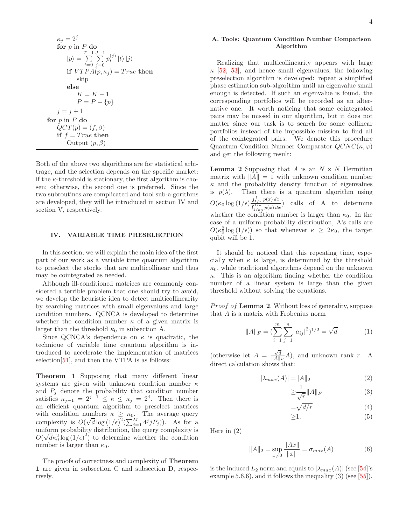$$
\kappa_j = 2^j
$$
  
\nfor  $p$  in  $P$  do  
\n
$$
|p\rangle = \sum_{t=0}^{T-1} \sum_{j=0}^{J-1} p_t^{(j)} |t\rangle |j\rangle
$$
  
\nif  $VTPA(p, \kappa_j) = True$  then  
\nskip  
\nelse  
\n
$$
K = K - 1
$$
  
\n
$$
P = P - \{p\}
$$
  
\n
$$
j = j + 1
$$
  
\nfor  $p$  in  $P$  do  
\n $QCT(p) = (f, \beta)$   
\nif  $f = True$  then  
\nOutput  $(p, \beta)$ 

Both of the above two algorithms are for statistical arbitrage, and the selection depends on the specific market: if the  $\kappa$ -threshold is stationary, the first algorithm is chosen; otherwise, the second one is preferred. Since the two subroutines are complicated and tool sub-algorithms are developed, they will be introduced in section IV and section V, respectively.

# IV. VARIABLE TIME PRESELECTION

In this section, we will explain the main idea of the first part of our work as a variable time quantum algorithm to preselect the stocks that are multicollinear and thus may be cointegrated as needed.

Although ill-conditioned matrices are commonly considered a terrible problem that one should try to avoid, we develop the heuristic idea to detect multicollinearity by searching matrices with small eigenvalues and large condition numbers. QCNCA is developed to determine whether the condition number  $\kappa$  of a given matrix is larger than the threshold  $\kappa_0$  in subsection A.

Since QCNCA's dependence on  $\kappa$  is quadratic, the technique of variable time quantum algorithm is introduced to accelerate the implementation of matrices selection[\[51\]](#page-9-30), and then the VTPA is as follows:

Theorem 1 Supposing that many different linear systems are given with unknown condition number  $\kappa$ and  $P_j$  denote the probability that condition number satisfies  $\kappa_{j-1} = 2^{j-1} \leq \kappa \leq \kappa_j = 2^j$ . Then there is an efficient quantum algorithm to preselect matrices with condition numbers  $\kappa \geq \kappa_0$ . The average query complexity is  $O(\sqrt{d} \log (1/\epsilon)^2 (\sum_{j=1}^M 4^j j P_j))$ . As for a uniform probability distribution, the query complexity is  $O(\sqrt{d\kappa_0^2} \log{(1/\epsilon)}^2)$  to determine whether the condition number is larger than  $\kappa_0$ .

The proofs of correctness and complexity of Theorem 1 are given in subsection C and subsection D, respectively.

## A. Tools: Quantum Condition Number Comparison Algorithm

Realizing that multicollinearity appears with large  $\kappa$  [\[52,](#page-9-31) [53\]](#page-9-32), and hence small eigenvalues, the following preselection algorithm is developed: repeat a simplified phase estimation sub-algorithm until an eigenvalue small enough is detected. If such an eigenvalue is found, the corresponding portfolios will be recorded as an alternative one. It worth noticing that some cointegrated pairs may be missed in our algorithm, but it does not matter since our task is to search for some collinear portfolios instead of the impossible mission to find all of the cointegrated pairs. We denote this procedure Quantum Condition Number Comparator  $QCNC(\kappa,\varphi)$ and get the following result:

**Lemma 2** Supposing that A is an  $N \times N$  Hermitian matrix with  $||A|| = 1$  with unknown condition number  $\kappa$  and the probability density function of eigenvalues is  $p(\lambda)$ . Then there is a quantum algorithm using  $O(\kappa_0 \log{(1/\epsilon)} \frac{\int_{1/\kappa}^{1} p(x) dx}{\int_{1/\kappa}^{1/\kappa} p(x) dx})$  $\int_{1/\kappa}^{1/\kappa} \frac{F(x) dx}{\sqrt{\frac{1}{\kappa}} \sqrt{\frac{p(x) dx}{\kappa}}}$  calls of A to determine whether the condition number is larger than  $\kappa_0$ . In the case of a uniform probability distribution, A's calls are  $O(\kappa_0^2 \log(1/\epsilon))$  so that whenever  $\kappa \geq 2\kappa_0$ , the target qubit will be 1.

It should be noticed that this repeating time, especially when  $\kappa$  is large, is determined by the threshold  $\kappa_0$ , while traditional algorithms depend on the unknown  $\kappa$ . This is an algorithm finding whether the condition number of a linear system is large than the given threshold without solving the equations.

*Proof of Lemma 2.* Without loss of generality, suppose that A is a matrix with Frobenius norm

$$
||A||_F = \left(\sum_{i=1}^m \sum_{j=1}^n |a_{ij}|^2\right)^{1/2} = \sqrt{d} \tag{1}
$$

(otherwise let  $A = \frac{\sqrt{d}}{\|A\|_F} A$ ), and unknown rank r. A direct calculation shows that:

$$
|\lambda_{max}(A)| = ||A||_2 \tag{2}
$$

$$
\geq \frac{1}{\sqrt{r}} \|A\|_F \tag{3}
$$

$$
=\sqrt{d/r} \tag{4}
$$

$$
\geq 1. \tag{5}
$$

Here in (2)

$$
||A||_2 = \sup_{x \neq 0} \frac{||Ax||}{||x||} = \sigma_{max}(A)
$$
 (6)

is the induced  $L_2$  norm and equals to  $|\lambda_{max}(A)|$  (see [\[54\]](#page-9-33)'s example 5.6.6), and it follows the inequality  $(3)$  (see [\[55\]](#page-9-34)).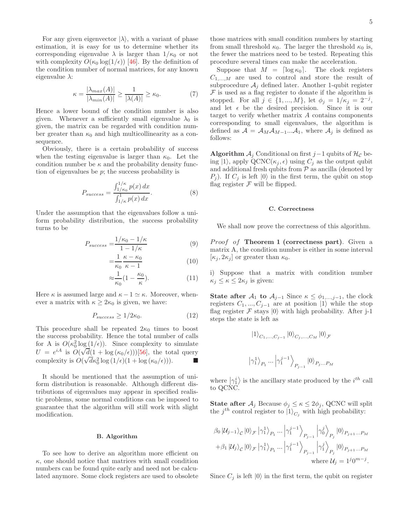For any given eigenvector  $|\lambda\rangle$ , with a variant of phase estimation, it is easy for us to determine whether its corresponding eigenvalue  $\lambda$  is larger than  $1/\kappa_0$  or not with complexity  $O(\kappa_0 \log(1/\epsilon))$  [\[46\]](#page-9-25). By the definition of the condition number of normal matrices, for any known eigenvalue  $\lambda$ :

$$
\kappa = \frac{|\lambda_{max}(A)|}{|\lambda_{min}(A)|} \ge \frac{1}{|\lambda(A)|} \ge \kappa_0.
$$
 (7)

Hence a lower bound of the condition number is also given. Whenever a sufficiently small eigenvalue  $\lambda_0$  is given, the matrix can be regarded with condition number greater than  $\kappa_0$  and high multicollinearity as a consequence.

Obviously, there is a certain probability of success when the testing eigenvalue is larger than  $\kappa_0$ . Let the condition number be  $\kappa$  and the probability density function of eigenvalues be  $p$ ; the success probability is

$$
P_{success} = \frac{\int_{1/\kappa_0}^{1/\kappa} p(x) dx}{\int_{1/\kappa}^{1} p(x) dx}.
$$
 (8)

Under the assumption that the eigenvalues follow a uniform probability distribution, the success probability turns to be

$$
P_{success} = \frac{1/\kappa_0 - 1/\kappa}{1 - 1/\kappa} \tag{9}
$$

$$
=\frac{1}{\kappa_0} \frac{\kappa - \kappa_0}{\kappa - 1} \tag{10}
$$

$$
\approx \frac{1}{\kappa_0} \left( 1 - \frac{\kappa_0}{\kappa} \right). \tag{11}
$$

Here  $\kappa$  is assumed large and  $\kappa - 1 \simeq \kappa$ . Moreover, whenever a matrix with  $\kappa \geq 2\kappa_0$  is given, we have:

$$
P_{success} \ge 1/2\kappa_0. \tag{12}
$$

This procedure shall be repeated  $2\kappa_0$  times to boost the success probability. Hence the total number of calls for A is  $O(\kappa_0^2 \log(1/\epsilon))$ . Since complexity to simulate  $U = e^{iA}$  is  $O(\sqrt{d}(1 + \log(\kappa_0/\epsilon)))$ [\[56](#page-9-35)], the total query complexity is  $O(\sqrt{d\kappa_0^2 \log{(1/\epsilon)(1 + \log{(\kappa_0/\epsilon)}))}})$ .

It should be mentioned that the assumption of uniform distribution is reasonable. Although different distributions of eigenvalues may appear in specified realistic problems, some normal conditions can be imposed to guarantee that the algorithm will still work with slight modification.

# B. Algorithm

To see how to derive an algorithm more efficient on  $\kappa$ , one should notice that matrices with small condition numbers can be found quite early and need not be calculated anymore. Some clock registers are used to obsolete

those matrices with small condition numbers by starting from small threshold  $\kappa_0$ . The larger the threshold  $\kappa_0$  is, the fewer the matrices need to be tested. Repeating this procedure several times can make the acceleration.

Suppose that  $M = \lceil \log \kappa_0 \rceil$ . The clock registers  $C_{1,...,M}$  are used to control and store the result of subprocedure  $A_i$  defined later. Another 1-qubit register  ${\mathcal F}$  is used as a flag register to donate if the algorithm is stopped. For all  $j \in \{1, ..., M\}$ , let  $\phi_j = 1/\kappa_j = 2^{-j}$ , and let  $\epsilon$  be the desired precision. Since it is our target to verify whether matrix A contains components corresponding to small eigenvalues, the algorithm is defined as  $A = A_{M} A_{M-1} ... A_{1}$ , where  $A_{j}$  is defined as follows:

Algorithm  $A_j$  Conditional on first j–1 qubits of  $H_{\mathcal{C}}$  being  $|1\rangle$ , apply QCNC( $\kappa_j, \epsilon$ ) using  $C_j$  as the output qubit and additional fresh qubits from  $P$  as ancilla (denoted by  $P_i$ ). If  $C_i$  is left  $|0\rangle$  in the first term, the qubit on stop flag register  $\mathcal F$  will be flipped.

# C. Correctness

We shall now prove the correctness of this algorithm.

*Proof of Theorem 1 (correctness part).* Given a matrix A, the condition number is either in some interval  $[\kappa_i, 2\kappa_i]$  or greater than  $\kappa_0$ .

i) Suppose that a matrix with condition number  $\kappa_j \leq \kappa \leq 2\kappa_j$  is given:

State after  $A_1$  to  $A_{j-1}$  Since  $\kappa \leq \phi_{1,\dots,j-1}$ , the clock registers  $C_1, ..., C_{j-1}$  are at position  $|1\rangle$  while the stop flag register  $\mathcal F$  stays  $|0\rangle$  with high probability. After j-1 steps the state is left as

$$
|1\rangle_{C_1,...,C_{j-1}}|0\rangle_{C_j,...,C_M}|0\rangle_{\mathcal{F}}
$$
  

$$
|\gamma_1^1\rangle_{P_1}...\left|\gamma_1^{j-1}\right\rangle_{P_{j-1}}|0\rangle_{P_j...P_M}
$$

where  $\left|\gamma_{i}^{i}\right\rangle$  is the ancillary state produced by the  $i^{th}$  call to QCNC.

**State after**  $A_j$  Because  $\phi_j \leq \kappa \leq 2\phi_j$ , QCNC will split the  $j^{th}$  control register to  $|1\rangle_{C_j}$  with high probability:

$$
\beta_0 \left| \mathcal{U}_{j-1} \right\rangle_{\mathcal{C}} |0\rangle_{\mathcal{F}} \left| \gamma_1^1 \right\rangle_{P_1} \dots \left| \gamma_1^{j-1} \right\rangle_{P_{j-1}} \left| \gamma_0^j \right\rangle_{P_j} |0\rangle_{P_{j+1} \dots P_M}
$$
  
+
$$
\beta_1 \left| \mathcal{U}_{j} \right\rangle_{\mathcal{C}} |0\rangle_{\mathcal{F}} \left| \gamma_1^1 \right\rangle_{P_1} \dots \left| \gamma_1^{j-1} \right\rangle_{P_{j-1}} \left| \gamma_1^j \right\rangle_{P_j} |0\rangle_{P_{j+1} \dots P_M}
$$
  
where 
$$
\mathcal{U}_{j} = 1^j 0^{m-j}.
$$

Since  $C_j$  is left  $|0\rangle$  in the first term, the qubit on register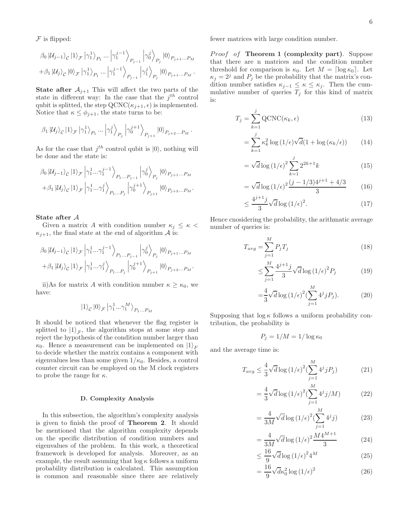$F$  is flipped:

$$
\beta_0 |U_{j-1}\rangle_{\mathcal{C}} |1\rangle_{\mathcal{F}} |\gamma_1^1\rangle_{P_1} \dots |\gamma_1^{j-1}\rangle_{P_{j-1}} |\gamma_0^j\rangle_{P_j} |0\rangle_{P_{j+1}\dots P_M}
$$
  
+
$$
\beta_1 |U_j\rangle_{\mathcal{C}} |0\rangle_{\mathcal{F}} |\gamma_1^1\rangle_{P_1} \dots |\gamma_1^{j-1}\rangle_{P_{j-1}} |\gamma_1^j\rangle_{P_j} |0\rangle_{P_{j+1}\dots P_M}.
$$

**State after**  $A_{j+1}$  This will affect the two parts of the state in different way: In the case that the  $j^{th}$  control qubit is splitted, the step  $QCNC(\kappa_{j+1}, \epsilon)$  is implemented. Notice that  $\kappa \leq \phi_{j+1}$ , the state turns to be:

$$
\beta_1 |U_j\rangle_{\mathcal{C}} |1\rangle_{\mathcal{F}} |\gamma_1^1\rangle_{P_1} \dots |\gamma_1^j\rangle_{P_j} |\gamma_0^{j+1}\rangle_{P_{j+1}} |0\rangle_{P_{j+2} \dots P_M}.
$$

As for the case that  $j^{th}$  control qubit is  $|0\rangle$ , nothing will be done and the state is:

$$
\beta_0 |U_{j-1}\rangle_c |1\rangle_{\mathcal{F}} \left| \gamma_1^1...\gamma_1^{j-1} \right\rangle_{P_1...P_{j-1}} \left| \gamma_0^j \right\rangle_{P_j} |0\rangle_{P_{j+1}...P_M}
$$
  
+ $\beta_1 |U_j\rangle_c |1\rangle_{\mathcal{F}} \left| \gamma_1^1...\gamma_1^j \right\rangle_{P_1...P_j} \left| \gamma_0^{j+1} \right\rangle_{P_{j+1}} |0\rangle_{P_{j+2}...P_M}.$ 

## State after A

Given a matrix A with condition number  $\kappa_i \leq \kappa$  $\kappa_{j+1}$ , the final state at the end of algorithm A is:

$$
\beta_0 |U_{j-1}\rangle_c |1\rangle_{\mathcal{F}} \left|\gamma_1^1...\gamma_1^{j-1}\right\rangle_{P_1...P_{j-1}} \left|\gamma_0^j\right\rangle_{P_j} |0\rangle_{P_{j+1}...P_M}
$$
  
+
$$
\beta_1 |U_j\rangle_c |1\rangle_{\mathcal{F}} \left|\gamma_1^1...\gamma_1^j\right\rangle_{P_1...P_j} \left|\gamma_0^{j+1}\right\rangle_{P_{j+1}} |0\rangle_{P_{j+2}...P_M}.
$$

ii)As for matrix A with condition number  $\kappa \geq \kappa_0$ , we have:

$$
|1\rangle_{\mathcal{C}}|0\rangle_{\mathcal{F}}|\gamma^1_1...\gamma^M_1\rangle_{P_1...P_M}
$$

It should be noticed that whenever the flag register is splitted to  $|1\rangle_{\mathcal{F}}$ , the algorithm stops at some step and reject the hypothesis of the condition number larger than  $\kappa_0$ . Hence a measurement can be implemented on  $|1\rangle_F$ to decide whether the matrix contains a component with eigenvalues less than some given  $1/\kappa_0$ . Besides, a control counter circuit can be employed on the M clock registers to probe the range for  $\kappa$ .

#### D. Complexity Analysis

In this subsection, the algorithm's complexity analysis is given to finish the proof of Theorem 2. It should be mentioned that the algorithm complexity depends on the specific distribution of condition numbers and eigenvalues of the problem. In this work, a theoretical framework is developed for analysis. Moreover, as an example, the result assuming that  $\log \kappa$  follows a uniform probability distribution is calculated. This assumption is common and reasonable since there are relatively

fewer matrices with large condition number.

*Proof of Theorem 1 (complexity part).* Suppose that there are n matrices and the condition number threshold for comparison is  $\kappa_0$ . Let  $M = \lceil \log \kappa_0 \rceil$ . Let  $\kappa_j = 2^j$  and  $P_j$  be the probability that the matrix's condition number satisfies  $\kappa_{i-1} \leq \kappa \leq \kappa_i$ . Then the cummulative number of queries  $T_j$  for this kind of matrix is:

$$
T_j = \sum_{k=1}^{j} \text{QCNC}(\kappa_k, \epsilon)
$$
\n(13)

$$
= \sum_{k=1}^{j} \kappa_k^2 \log \left( 1/\epsilon \right) \sqrt{d} \left( 1 + \log \left( \kappa_k/\epsilon \right) \right) \tag{14}
$$

$$
= \sqrt{d} \log (1/\epsilon)^2 \sum_{k=1}^{j} 2^{2k+1} k \tag{15}
$$

$$
= \sqrt{d} \log \left(1/\epsilon\right)^2 \frac{(j - 1/3)4^{j+1} + 4/3}{3} \tag{16}
$$

$$
\leq \frac{4^{j+1}j}{3}\sqrt{d}\log\left(1/\epsilon\right)^2.\tag{17}
$$

Hence cnosidering the probability, the arithmatic average number of queries is:

$$
T_{avg} = \sum_{j=1}^{M} P_j T_j \tag{18}
$$

$$
\leq \sum_{j=1}^{M} \frac{4^{j+1}j}{3} \sqrt{d} \log \left(1/\epsilon\right)^2 P_j \tag{19}
$$

$$
=\frac{4}{3}\sqrt{d}\log\left(1/\epsilon\right)^2\left(\sum_{j=1}^M 4^j j P_j\right).
$$
 (20)

Supposing that  $\log \kappa$  follows a uniform probability contribution, the probability is

$$
P_j = 1/M = 1/\log \kappa_0
$$

and the average time is:

=

$$
T_{avg} \le \frac{4}{3} \sqrt{d} \log \left( 1/\epsilon \right)^2 \left( \sum_{j=1}^M 4^j j P_j \right) \tag{21}
$$

$$
= \frac{4}{3}\sqrt{d}\log(1/\epsilon)^{2}\left(\sum_{j=1}^{M}4^{j}j/M\right)
$$
 (22)

$$
= \frac{4}{3M} \sqrt{d} \log \left( 1/\epsilon \right)^2 \left( \sum_{j=1}^M 4^j j \right) \tag{23}
$$

$$
= \frac{4}{3M} \sqrt{d} \log (1/\epsilon)^2 \frac{M 4^{M+1}}{3}
$$
 (24)

$$
\leq \frac{16}{9} \sqrt{d} \log \left( 1/\epsilon \right)^2 4^M \tag{25}
$$

$$
=\frac{16}{9}\sqrt{d\kappa_0^2}\log\left(1/\epsilon\right)^2\tag{26}
$$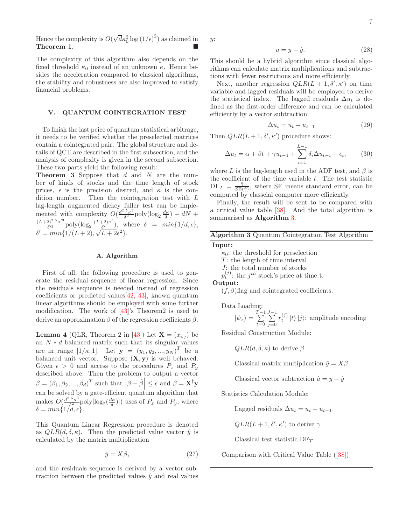Hence the complexity is  $O(\sqrt{d}\kappa_0^2 \log{(1/\epsilon)}^2)$  as claimed in Theorem 1.

The complexity of this algorithm also depends on the fixed threshold  $\kappa_0$  instead of an unknown  $\kappa$ . Hence besides the acceleration compared to classical algorithms, the stability and robustness are also improved to satisfy financial problems.

#### V. QUANTUM COINTEGRATION TEST

To finish the last peice of quantum statistical arbitrage, it needs to be verified whether the preselected matrices contain a cointegrated pair. The global structure and details of QCT are described in the first subsection, and the analysis of complexity is given in the second subsection. These two parts yield the following result:

**Theorem 3** Suppose that  $d$  and  $N$  are the number of kinds of stocks and the time length of stock prices,  $\epsilon$  is the precision desired, and  $\kappa$  is the condition number. Then the cointegration test with L lag-length augmented dickey fuller test can be implemented with complexity  $O(\frac{d^{2.5} \kappa^3}{\delta^2})$  $\frac{\partial^2 \kappa^3}{\partial^2}$  poly $(\log_2 \frac{d\kappa}{\delta}) + dN +$  $(L+2)^{2.5} \kappa^{\prime 3}$  $\frac{(\lambda^2)^{2.5} \kappa'^3}{\delta'^2}$  poly(log<sub>2</sub>  $\frac{(L+2) \kappa'}{\delta'}$  $\frac{(-2i\kappa)}{\delta'}$ , where  $\delta = min\{1/d, \epsilon\},\$  $\delta' = min\{1/(L+2), \sqrt{L+2}\epsilon^2\}.$ 

### A. Algorithm

First of all, the following procedure is used to generate the residual sequence of linear regression. Since the residuals sequence is needed instead of regression coefficients or predicted values[\[42,](#page-9-21) [43](#page-9-22)], known quantum linear algorithms should be employed with some further modification. The work of [\[43](#page-9-22)]'s Theorem2 is used to derive an approximation  $\beta$  of the regression coefficients  $\beta$ .

**Lemma 4** (QLR, Theorem 2 in [\[43](#page-9-22)]) Let  $\mathbf{X} = (x_{i,j})$  be an  $N * d$  balanced matrix such that its singular values are in range  $[1/\kappa, 1]$ . Let  $y = (y_1, y_2, ..., y_N)^T$  be a balanced unit vector. Suppose  $(X, y)$  is well behaved. Given  $\epsilon > 0$  and access to the procedures  $P_x$  and  $P_y$ described above. Then the problem to output a vector  $\beta = (\beta_1, \beta_2, ..., \beta_d)^T$  such that  $\left|\beta - \hat{\beta}\right| \leq \epsilon$  and  $\beta = \mathbf{x}^{\dagger} \mathbf{y}$ can be solved by a gate-efficient quantum algorithm that makes  $O(\frac{d^{2.5} \kappa^3}{\delta^2})$  $\frac{\partial \kappa^3}{\partial^2}$  poly $[\log_2(\frac{d\kappa}{\delta})]$  uses of  $P_x$  and  $P_y$ , where  $\delta = min\{1/d, \epsilon\}.$ 

This Quantum Linear Regression procedure is denoted as  $QLR(d, \delta, \kappa)$ . Then the predicted value vector  $\hat{y}$  is calculated by the matrix multiplication

$$
\hat{y} = X\beta,\tag{27}
$$

and the residuals sequence is derived by a vector subtraction between the predicted values  $\hat{y}$  and real values y:

$$
u = y - \hat{y}.\tag{28}
$$

This should be a hybrid algorithm since classical algorithms can calculate matrix multiplications and subtractions with fewer restrictions and more efficiently.

Next, another regression  $QLR(L + 1, \delta', \kappa')$  on time variable and lagged residuals will be employed to derive the statistical index. The lagged residuals  $\Delta u_t$  is defined as the first-order difference and can be calculated efficiently by a vector subtraction:

$$
\Delta u_t = u_t - u_{t-1} \tag{29}
$$

Then  $QLR(L+1,\delta',\kappa')$  procedure shows:

$$
\Delta u_t = \alpha + \beta t + \gamma u_{t-1} + \sum_{i=1}^{L-1} \delta_i \Delta u_{t-i} + \epsilon_t, \qquad (30)
$$

where L is the lag-length used in the ADF test, and  $\beta$  is the coefficient of the time variable  $t$ . The test statistic  $DF_T = \frac{\hat{\gamma}}{SE(\hat{\gamma})}$ , where SE means standard error, can be computed by classcial computer more efficiently.

Finally, the result will be sent to be compared with a critical value table [\[38\]](#page-9-17). And the total algorithm is summarised as Algorithm [3.](#page-6-0)

# <span id="page-6-0"></span>Algorithm 3 Quantum Cointegration Test Algorithm

# Input:

 $\kappa_0$ : the threshold for preselection

 $T$ : the length of time interval

 $J$ : the total number of stocks

 $p_t^{(j)}$ : the  $j^{th}$  stock's price at time t.

Output:

 $(f, \beta)$ flag and cointegrated coefficients.

Data Loading:

$$
|\psi_x\rangle = \sum_{t=0}^{T-1} \sum_{j=0}^{J-1} r_t^{(j)} |t\rangle |j\rangle: \text{ amplitude encoding}
$$

Residual Construction Module:

 $QLR(d, \delta, \kappa)$  to derive  $\beta$ 

Classical matrix multiplication  $\hat{y} = X\beta$ 

Classical vector subtraction  $\hat{u} = y - \hat{y}$ 

Statistics Calculation Module:

Lagged residuals  $\Delta u_t = u_t - u_{t-1}$ 

$$
QLR(L+1, \delta', \kappa') \text{ to derive } \gamma
$$

Classical test statistic  $DF_T$ 

Comparison with Critical Value Table ([\[38\]](#page-9-17))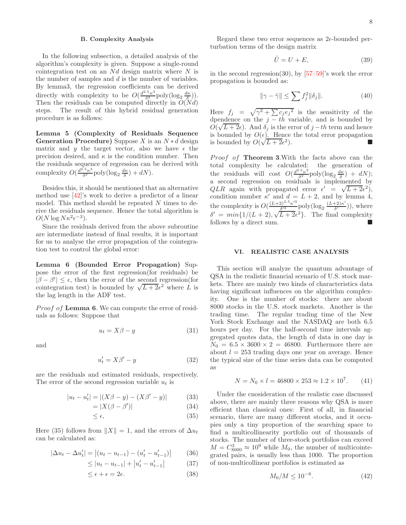### B. Complexity Analysis

In the following subsection, a detailed analysis of the algorithm's complexity is given. Suppose a single-round cointegration test on an  $Nd$  design matrix where N is the number of samples and d is the number of variables. By lemma3, the regression coefficients can be derived directly with complexity to be  $O(\frac{d^{2.5} \kappa^3}{\delta^2} \text{poly}(\log_2 \frac{d\kappa}{\delta}))$ . Then the residuals can be computed directly in  $O(Nd)$ steps. The result of this hybrid residual generation procedure is as follows:

Lemma 5 (Complexity of Residuals Sequence Generation Procedure) Suppose X is an  $N * d$  design matrix and y the target vector, also we have  $\epsilon$  the precision desired, and  $\kappa$  is the condition number. Then the residuals sequence of regression can be derived with complexity  $O(\frac{d^{2.5} \kappa^3}{\delta^2})$  $\frac{d^2\kappa^3}{\delta^2}$  poly $(\log_2 \frac{d\kappa}{\delta}) + dN$ ).

Besides this, it should be mentioned that an alternative method use [\[42](#page-9-21)]'s work to derive a predictor of a linear model. This method should be repeated N times to derive the residuals sequence. Hence the total algorithm is  $O(N \log N \kappa^2 \epsilon^{-3}).$ 

Since the residuals derived from the above subroutine are intermediate instead of final results, it is important for us to analyse the error propagation of the cointegration test to control the global error:

Lemma 6 (Bounded Error Propagation) Suppose the error of the first regression(for residuals) be  $|\beta - \beta'| \leq \epsilon$ , then the error of the second regression(for cointegration test) is bounded by  $\sqrt{L+2}e^2$  where L is the lag length in the ADF test.

*Proof of* Lemma 6. We can compute the error of residuals as follows: Suppose that

$$
u_t = X\beta - y \tag{31}
$$

and

$$
u_t' = X\beta' - y \tag{32}
$$

are the residuals and estimated residuals, respectively. The error of the second regression variable  $u_t$  is

$$
|u_t - u'_t| = |(X\beta - y) - (X\beta' - y)| \tag{33}
$$

$$
=|X(\beta - \beta')|
$$
 (34)

$$
\leq \epsilon,\tag{35}
$$

Here (35) follows from  $||X|| = 1$ , and the errors of  $\Delta u_t$ can be calculated as:

$$
|\Delta u_t - \Delta u'_t| = |(u_t - u_{t-1}) - (u'_t - u'_{t-1})|
$$
 (36)

$$
\leq |u_t - u_{t-1}| + |u'_t - u'_{t-1}| \tag{37}
$$

$$
\leq \epsilon + \epsilon = 2\epsilon. \tag{38}
$$

Regard these two error sequences as  $2\epsilon$ -bounded perturbation terms of the design matrix

$$
\hat{U} = U + E,\tag{39}
$$

in the second regression(30), by  $[57-59]'s$  $[57-59]'s$  $[57-59]'s$  work the error propagation is bounded as:

$$
\|\gamma - \hat{\gamma}\| \le \sum f_j^2 \|\delta_j\|.\tag{40}
$$

Here  $f_j = \sqrt{\gamma^2 + \sum c_j e_j^2}$  is the sensitivity of the dpendence on the  $j = th$  variable, and is bounded by  $O(\sqrt{L+2\epsilon})$ . And  $\delta_j$  is the error of  $j-th$  term and hence is bounded by  $O(\epsilon)$ . Hence the total error propagation is bounded by  $O(\sqrt{L+2\epsilon^2})$  $\blacksquare$ ).

Proof of Theorem 3. With the facts above can the total complexity be calculated: the generation of the residuals will cost  $O(\frac{d^{2.5} \kappa^3}{\delta^2})$  $\frac{\delta \kappa^3}{\delta^2}$  poly $(\log_2 \frac{d\kappa}{\delta}) + dN$ ); a second regression on residuals is implemented by  $QLR$  again with propagated error  $\epsilon' = \sqrt{L+2\epsilon^2}$ , condition number  $\kappa'$  and  $d = L + 2$ , and by lemma 4, the complexity is  $O(\frac{(L+2)^{2.5} \kappa'^3}{\delta'^2})$  $\frac{(\lambda^2)^{2.5} \kappa'^3}{\delta'^2}$  poly $(\log_2 \frac{(L+2) \kappa'}{\delta'}$  $\frac{(-2i\pi)}{\delta'}$ ), where  $\delta' = min\{1/(L+2), \sqrt{L+2\epsilon^2}\}\$ . The final complexity follows by a direct sum.

## VI. REALISTIC CASE ANALYSIS

This section will analyze the quantum advantage of QSA in the realistic financial scenario of U.S. stock markets. There are mainly two kinds of characteristics data having significant influences on the algorithm complexity. One is the number of stocks: there are about 8000 stocks in the U.S. stock markets. Another is the trading time. The regular trading time of the New York Stock Exchange and the NASDAQ are both 6.5 hours per day. For the half-second time intervals aggregated quotes data, the length of data in one day is  $N_0 = 6.5 \times 3600 \times 2 = 46800$ . Furthermore there are about  $l = 253$  trading days one year on average. Hence the typical size of the time series data can be computed as

$$
N = N_0 \times l = 46800 \times 253 \approx 1.2 \times 10^7. \tag{41}
$$

Under the cnosideration of the realistic case discussed above, there are mainly three reasons why QSA is more efficient than classical ones: First of all, in financial scenario, there are many different stocks, and it occupies only a tiny proportion of the searching space to find a multicollinearity portfolio out of thousands of stocks. The number of three-stock portfolios can exceed  $M = C_{8000}^3 \approx 10^9$  while  $M_0$ , the number of multicointegrated pairs, is usually less than 1000. The proportion of non-multicollinear portfolios is estimated as

$$
M_0/M \le 10^{-6}.\tag{42}
$$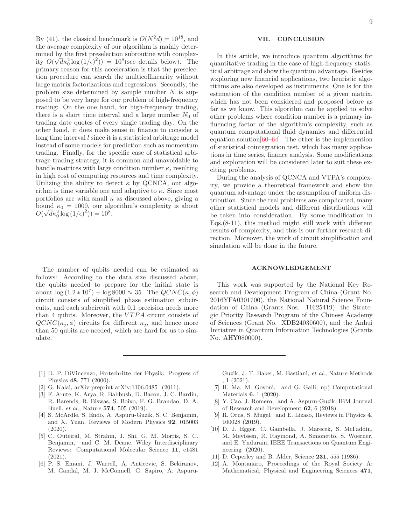By (41), the classical benchmark is  $O(N^2d) = 10^{18}$ , and the average complexity of our algorithm is mainly determined by the first preselection subroutine wtih complexity  $O(\sqrt{d\kappa_0^2 \log{(1/\epsilon)^2}}) = 10^8$  (see details below). The primary reason for this acceleration is that the preselection procedure can search the multicollinearity without large matrix factorizations and regressions. Secondly, the problem size determined by sample number  $N$  is supposed to be very large for our problem of high-frequency trading: On the one hand, for high-frequency trading, there is a short time interval and a large number  $N_0$  of trading date quotes of every single trading day. On the other hand, it does make sense in finance to consider a  $\log$  time interval  $l$  since it is a statistical arbitrage model instead of some models for prediction such as momentum trading. Finally, for the specific case of statistical arbitrage trading strategy, it is common and unavoidable to handle matrices with large condition number  $\kappa$ , resulting in high cost of computing resources and time complexity. Utilizing the ability to detect  $\kappa$  by QCNCA, our algorithm is time variable one and adaptive to  $\kappa$ . Since most portfolios are with small  $\kappa$  as discussed above, giving a bound  $\kappa_0 = 1000$ , our algorithm's complexity is about  $O(\sqrt{d}\kappa_0^2 \log{(1/\epsilon)}^2)) = 10^8.$ 

The number of qubits needed can be estimated as follows: According to the data size discussed above, the qubits needed to prepare for the initial state is about  $\log(1.2 * 10^7) + \log 8000 \approx 35$ . The  $QCNC(\kappa, \phi)$ circuit consists of simplified phase estimation subcircuits, and each subcircuit with 0.1 precision needs more than 4 qubits. Moreover, the  $VTPA$  circuit consists of  $QCNC(\kappa_i, \phi)$  circuits for different  $\kappa_i$ , and hence more than 50 qubits are needed, which are hard for us to simulate.

9

# VII. CONCLUSION

In this article, we introduce quantum algorithms for quantitative trading in the case of high-frequency statistical arbitrage and show the quantum advantage. Besides wxploring new financial applications, two heuristic algorithms are also developed as instruments: One is for the estimation of the condition number of a given matrix, which has not been considered and proposed before as far as we know. This algorithm can be applied to solve other problems where condition number is a primary influencing factor of the algorithm's complexity, such as quantum computational fluid dynamics and differential equation solution  $[60-64]$  $[60-64]$ . The other is the implemention of statistical cointegration test, which has many applications in time series, finance analysis. Some modifications and exploration will be considered later to suit these exciting problems.

During the analysis of QCNCA and VTPA's complexity, we provide a theoretical framework and show the quantum advantage under the assumption of uniform distribution. Since the real problems are complicated, many other statistical models and different distributions will be taken into consideration. By some modification in Eqs.(8-11), this method might still work with different results of complexity, and this is our further research direction. Moreover, the work of circuit simplification and simulation will be done in the future.

## ACKNOWLEDGEMENT

This work was supported by the National Key Research and Development Program of China (Grant No. 2016YFA0301700), the National Natural Science Foundation of China (Grants Nos. 11625419), the Strategic Priority Research Program of the Chinese Academy of Sciences (Grant No. XDB24030600), and the Anhui Initiative in Quantum Information Technologies (Grants No. AHY080000).

- <span id="page-8-0"></span>[1] D. P. DiVincenzo, Fortschritte der Physik: Progress of Physics 48, 771 (2000).
- [2] G. Kalai, arXiv preprint arXiv:1106.0485 (2011).
- <span id="page-8-1"></span>[3] F. Arute, K. Arya, R. Babbush, D. Bacon, J. C. Bardin, R. Barends, R. Biswas, S. Boixo, F. G. Brandao, D. A. Buell, et al., Nature 574, 505 (2019).
- <span id="page-8-2"></span>[4] S. McArdle, S. Endo, A. Aspuru-Guzik, S. C. Benjamin, and X. Yuan, Reviews of Modern Physics 92, 015003  $(2020)$ .
- [5] C. Outeiral, M. Strahm, J. Shi, G. M. Morris, S. C. Benjamin, and C. M. Deane, Wiley Interdisciplinary Reviews: Computational Molecular Science 11, e1481 (2021).
- <span id="page-8-3"></span>[6] P. S. Emani, J. Warrell, A. Anticevic, S. Bekiranov, M. Gandal, M. J. McConnell, G. Sapiro, A. Aspuru-

Guzik, J. T. Baker, M. Bastiani, et al., Nature Methods , 1 (2021).

- <span id="page-8-4"></span>[7] H. Ma, M. Govoni, and G. Galli, npj Computational Materials 6, 1 (2020).
- <span id="page-8-5"></span>[8] Y. Cao, J. Romero, and A. Aspuru-Guzik, IBM Journal of Research and Development 62, 6 (2018).
- <span id="page-8-6"></span>[9] R. Orus, S. Mugel, and E. Lizaso, Reviews in Physics 4, 100028 (2019).
- <span id="page-8-7"></span>[10] D. J. Egger, C. Gambella, J. Marecek, S. McFaddin, M. Mevissen, R. Raymond, A. Simonetto, S. Woerner, and E. Yndurain, IEEE Transactions on Quantum Engineering (2020).
- <span id="page-8-8"></span>[11] D. Ceperley and B. Alder, Science **231**, 555 (1986).
- [12] A. Montanaro, Proceedings of the Royal Society A: Mathematical, Physical and Engineering Sciences 471,